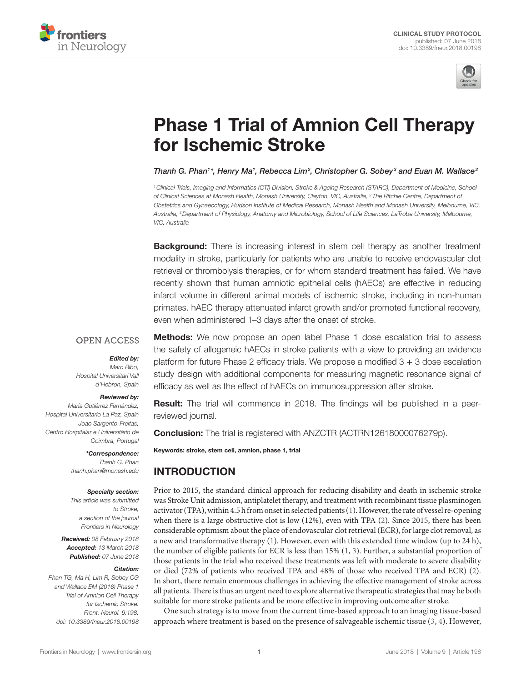



# **Phase 1 Trial of Amnion Cell Therapy** [for ischemic Stroke](https://www.frontiersin.org/Journal/10.3389/fneur.2018.00198/full)

*[Thanh G. Phan](https://loop.frontiersin.org/people/97429)1 \*, [Henry Ma1](https://loop.frontiersin.org/people/352187) , [Rebecca Lim2](https://loop.frontiersin.org/people/311995) , [Christopher G. Sobey](https://loop.frontiersin.org/people/73441) <sup>3</sup> and [Euan M. Wallace2](https://loop.frontiersin.org/people/188523)*

*1Clinical Trials, Imaging and Informatics (CTI) Division, Stroke & Ageing Research (STARC), Department of Medicine, School of Clinical Sciences at Monash Health, Monash University, Clayton, VIC, Australia, 2 The Ritchie Centre, Department of Obstetrics and Gynaecology, Hudson Institute of Medical Research, Monash Health and Monash University, Melbourne, VIC, Australia, 3Department of Physiology, Anatomy and Microbiology, School of Life Sciences, LaTrobe University, Melbourne, VIC, Australia*

**Background:** There is increasing interest in stem cell therapy as another treatment modality in stroke, particularly for patients who are unable to receive endovascular clot retrieval or thrombolysis therapies, or for whom standard treatment has failed. We have recently shown that human amniotic epithelial cells (hAECs) are effective in reducing infarct volume in different animal models of ischemic stroke, including in non-human primates. hAEC therapy attenuated infarct growth and/or promoted functional recovery, even when administered 1–3 days after the onset of stroke.

#### **OPEN ACCESS**

#### *Edited by:*

*Marc Ribo, Hospital Universitari Vall d'Hebron, Spain*

#### *Reviewed by:*

*María Gutiérrez Fernández, Hospital Universitario La Paz, Spain Joao Sargento-Freitas, Centro Hospitalar e Universitário de Coimbra, Portugal*

> *\*Correspondence: Thanh G. Phan [thanh.phan@monash.edu](mailto:thanh.phan@monash.edu)*

#### *Specialty section:*

*This article was submitted to Stroke, a section of the journal Frontiers in Neurology*

*Received: 08 February 2018 Accepted: 13 March 2018 Published: 07 June 2018*

#### *Citation:*

*Phan TG, Ma H, Lim R, Sobey CG and Wallace EM (2018) Phase 1 Trial of Amnion Cell Therapy for Ischemic Stroke. Front. Neurol. 9:198. doi: [10.3389/fneur.2018.00198](https://doi.org/10.3389/fneur.2018.00198)* **Methods:** We now propose an open label Phase 1 dose escalation trial to assess the safety of allogeneic hAECs in stroke patients with a view to providing an evidence platform for future Phase 2 efficacy trials. We propose a modified  $3 + 3$  dose escalation study design with additional components for measuring magnetic resonance signal of efficacy as well as the effect of hAECs on immunosuppression after stroke.

**Result:** The trial will commence in 2018. The findings will be published in a peerreviewed journal.

**Conclusion:** The trial is registered with ANZCTR (ACTRN12618000076279p).

Keywords: stroke, stem cell, amnion, phase 1, trial

# INTRODUCTION

Prior to 2015, the standard clinical approach for reducing disability and death in ischemic stroke was Stroke Unit admission, antiplatelet therapy, and treatment with recombinant tissue plasminogen activator (TPA), within 4.5 h from onset in selected patients ([1](#page-5-0)). However, the rate of vessel re-opening when there is a large obstructive clot is low (12%), even with TPA ([2](#page-5-1)). Since 2015, there has been considerable optimism about the place of endovascular clot retrieval (ECR), for large clot removal, as a new and transformative therapy ([1](#page-5-0)). However, even with this extended time window (up to 24 h), the number of eligible patients for ECR is less than 15% ([1](#page-5-0), [3](#page-5-2)). Further, a substantial proportion of those patients in the trial who received these treatments was left with moderate to severe disability or died (72% of patients who received TPA and 48% of those who received TPA and ECR) ([2](#page-5-1)). In short, there remain enormous challenges in achieving the effective management of stroke across all patients. There is thus an urgent need to explore alternative therapeutic strategies that may be both suitable for more stroke patients and be more effective in improving outcome after stroke.

One such strategy is to move from the current time-based approach to an imaging tissue-based approach where treatment is based on the presence of salvageable ischemic tissue [\(3](#page-5-2), [4\)](#page-5-3). However,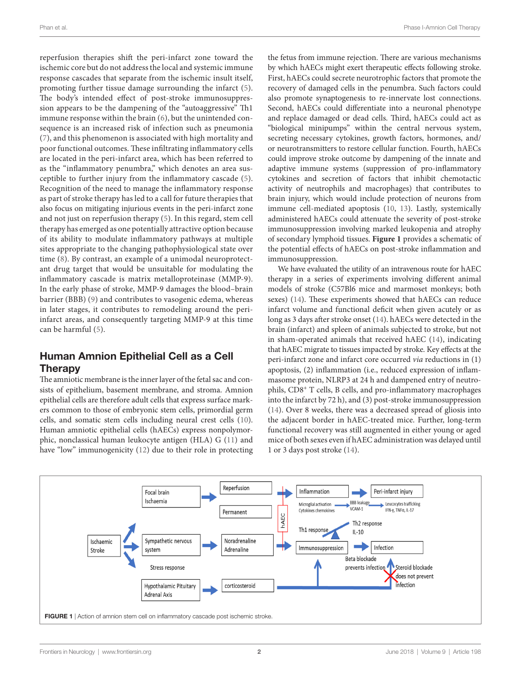reperfusion therapies shift the peri-infarct zone toward the ischemic core but do not address the local and systemic immune response cascades that separate from the ischemic insult itself, promoting further tissue damage surrounding the infarct ([5\)](#page-5-4). The body's intended effect of post-stroke immunosuppression appears to be the dampening of the "autoaggressive" Th1 immune response within the brain [\(6](#page-5-5)), but the unintended consequence is an increased risk of infection such as pneumonia ([7](#page-5-6)), and this phenomenon is associated with high mortality and poor functional outcomes. These infiltrating inflammatory cells are located in the peri-infarct area, which has been referred to as the "inflammatory penumbra," which denotes an area susceptible to further injury from the inflammatory cascade ([5\)](#page-5-4). Recognition of the need to manage the inflammatory response as part of stroke therapy has led to a call for future therapies that also focus on mitigating injurious events in the peri-infarct zone and not just on reperfusion therapy ([5\)](#page-5-4). In this regard, stem cell therapy has emerged as one potentially attractive option because of its ability to modulate inflammatory pathways at multiple sites appropriate to the changing pathophysiological state over time ([8\)](#page-5-7). By contrast, an example of a unimodal neuroprotectant drug target that would be unsuitable for modulating the inflammatory cascade is matrix metalloproteinase (MMP-9). In the early phase of stroke, MMP-9 damages the blood–brain barrier (BBB) ([9\)](#page-5-8) and contributes to vasogenic edema, whereas in later stages, it contributes to remodeling around the periinfarct areas, and consequently targeting MMP-9 at this time can be harmful ([5\)](#page-5-4).

# Human Amnion Epithelial Cell as a Cell **Therapy**

The amniotic membrane is the inner layer of the fetal sac and consists of epithelium, basement membrane, and stroma. Amnion epithelial cells are therefore adult cells that express surface markers common to those of embryonic stem cells, primordial germ cells, and somatic stem cells including neural crest cells ([10\)](#page-5-9). Human amniotic epithelial cells (hAECs) express nonpolymorphic, nonclassical human leukocyte antigen (HLA) G [\(11](#page-5-10)) and have "low" immunogenicity ([12\)](#page-5-11) due to their role in protecting

the fetus from immune rejection. There are various mechanisms by which hAECs might exert therapeutic effects following stroke. First, hAECs could secrete neurotrophic factors that promote the recovery of damaged cells in the penumbra. Such factors could also promote synaptogenesis to re-innervate lost connections. Second, hAECs could differentiate into a neuronal phenotype and replace damaged or dead cells. Third, hAECs could act as "biological minipumps" within the central nervous system, secreting necessary cytokines, growth factors, hormones, and/ or neurotransmitters to restore cellular function. Fourth, hAECs could improve stroke outcome by dampening of the innate and adaptive immune systems (suppression of pro-inflammatory cytokines and secretion of factors that inhibit chemotactic activity of neutrophils and macrophages) that contributes to brain injury, which would include protection of neurons from immune cell-mediated apoptosis ([10,](#page-5-9) [13](#page-5-12)). Lastly, systemically administered hAECs could attenuate the severity of post-stroke immunosuppression involving marked leukopenia and atrophy of secondary lymphoid tissues. **[Figure 1](#page-1-0)** provides a schematic of the potential effects of hAECs on post-stroke inflammation and immunosuppression.

We have evaluated the utility of an intravenous route for hAEC therapy in a series of experiments involving different animal models of stroke (C57Bl6 mice and marmoset monkeys; both sexes) [\(14\)](#page-5-13). These experiments showed that hAECs can reduce infarct volume and functional deficit when given acutely or as long as 3 days after stroke onset [\(14](#page-5-13)). hAECs were detected in the brain (infarct) and spleen of animals subjected to stroke, but not in sham-operated animals that received hAEC ([14\)](#page-5-13), indicating that hAEC migrate to tissues impacted by stroke. Key effects at the peri-infarct zone and infarct core occurred *via* reductions in (1) apoptosis, (2) inflammation (i.e., reduced expression of inflammasome protein, NLRP3 at 24 h and dampened entry of neutrophils, CD8<sup>+</sup> T cells, B cells, and pro-inflammatory macrophages into the infarct by 72 h), and (3) post-stroke immunosuppression [\(14\)](#page-5-13). Over 8 weeks, there was a decreased spread of gliosis into the adjacent border in hAEC-treated mice. Further, long-term functional recovery was still augmented in either young or aged mice of both sexes even if hAEC administration was delayed until 1 or 3 days post stroke [\(14](#page-5-13)).

<span id="page-1-0"></span>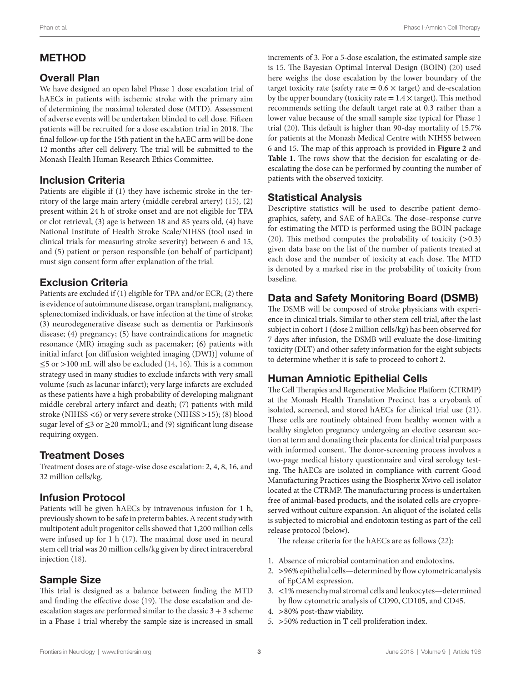# METHOD

# Overall Plan

We have designed an open label Phase 1 dose escalation trial of hAECs in patients with ischemic stroke with the primary aim of determining the maximal tolerated dose (MTD). Assessment of adverse events will be undertaken blinded to cell dose. Fifteen patients will be recruited for a dose escalation trial in 2018. The final follow-up for the 15th patient in the hAEC arm will be done 12 months after cell delivery. The trial will be submitted to the Monash Health Human Research Ethics Committee.

# Inclusion Criteria

Patients are eligible if (1) they have ischemic stroke in the territory of the large main artery (middle cerebral artery) ([15\)](#page-5-14), (2) present within 24 h of stroke onset and are not eligible for TPA or clot retrieval, (3) age is between 18 and 85 years old, (4) have National Institute of Health Stroke Scale/NIHSS (tool used in clinical trials for measuring stroke severity) between 6 and 15, and (5) patient or person responsible (on behalf of participant) must sign consent form after explanation of the trial.

### Exclusion Criteria

Patients are excluded if (1) eligible for TPA and/or ECR; (2) there is evidence of autoimmune disease, organ transplant, malignancy, splenectomized individuals, or have infection at the time of stroke; (3) neurodegenerative disease such as dementia or Parkinson's disease; (4) pregnancy; (5) have contraindications for magnetic resonance (MR) imaging such as pacemaker; (6) patients with initial infarct [on diffusion weighted imaging (DWI)] volume of ≤5 or >100 mL will also be excluded [\(14](#page-5-13), [16\)](#page-5-15). This is a common strategy used in many studies to exclude infarcts with very small volume (such as lacunar infarct); very large infarcts are excluded as these patients have a high probability of developing malignant middle cerebral artery infarct and death; (7) patients with mild stroke (NIHSS <6) or very severe stroke (NIHSS >15); (8) blood sugar level of  $\leq$ 3 or  $\geq$ 20 mmol/L; and (9) significant lung disease requiring oxygen.

### Treatment Doses

Treatment doses are of stage-wise dose escalation: 2, 4, 8, 16, and 32 million cells/kg.

### Infusion Protocol

Patients will be given hAECs by intravenous infusion for 1 h, previously shown to be safe in preterm babies. A recent study with multipotent adult progenitor cells showed that 1,200 million cells were infused up for 1 h ([17\)](#page-5-16). The maximal dose used in neural stem cell trial was 20 million cells/kg given by direct intracerebral injection [\(18\)](#page-5-17).

### Sample Size

This trial is designed as a balance between finding the MTD and finding the effective dose ([19\)](#page-5-18). The dose escalation and deescalation stages are performed similar to the classic  $3 + 3$  scheme in a Phase 1 trial whereby the sample size is increased in small increments of 3. For a 5-dose escalation, the estimated sample size is 15. The Bayesian Optimal Interval Design (BOIN) ([20\)](#page-5-19) used here weighs the dose escalation by the lower boundary of the target toxicity rate (safety rate  $= 0.6 \times \text{target}$ ) and de-escalation by the upper boundary (toxicity rate  $= 1.4 \times$  target). This method recommends setting the default target rate at 0.3 rather than a lower value because of the small sample size typical for Phase 1 trial ([20](#page-5-19)). This default is higher than 90-day mortality of 15.7% for patients at the Monash Medical Centre with NIHSS between 6 and 15. The map of this approach is provided in **[Figure 2](#page-3-0)** and Table 1. The rows show that the decision for escalating or deescalating the dose can be performed by counting the number of patients with the observed toxicity.

#### Statistical Analysis

Descriptive statistics will be used to describe patient demographics, safety, and SAE of hAECs. The dose–response curve for estimating the MTD is performed using the BOIN package [\(20\)](#page-5-19). This method computes the probability of toxicity  $(>0.3)$ given data base on the list of the number of patients treated at each dose and the number of toxicity at each dose. The MTD is denoted by a marked rise in the probability of toxicity from baseline.

# Data and Safety Monitoring Board (DSMB)

The DSMB will be composed of stroke physicians with experience in clinical trials. Similar to other stem cell trial, after the last subject in cohort 1 (dose 2 million cells/kg) has been observed for 7 days after infusion, the DSMB will evaluate the dose-limiting toxicity (DLT) and other safety information for the eight subjects to determine whether it is safe to proceed to cohort 2.

# Human Amniotic Epithelial Cells

The Cell Therapies and Regenerative Medicine Platform (CTRMP) at the Monash Health Translation Precinct has a cryobank of isolated, screened, and stored hAECs for clinical trial use [\(21](#page-5-20)). These cells are routinely obtained from healthy women with a healthy singleton pregnancy undergoing an elective cesarean section at term and donating their placenta for clinical trial purposes with informed consent. The donor-screening process involves a two-page medical history questionnaire and viral serology testing. The hAECs are isolated in compliance with current Good Manufacturing Practices using the Biospherix Xvivo cell isolator located at the CTRMP. The manufacturing process is undertaken free of animal-based products, and the isolated cells are cryopreserved without culture expansion. An aliquot of the isolated cells is subjected to microbial and endotoxin testing as part of the cell release protocol (below).

The release criteria for the hAECs are as follows ([22](#page-5-21)):

- 1. Absence of microbial contamination and endotoxins.
- 2. >96% epithelial cells—determined by flow cytometric analysis of EpCAM expression.
- 3. <1% mesenchymal stromal cells and leukocytes—determined by flow cytometric analysis of CD90, CD105, and CD45.
- 4. >80% post-thaw viability.
- 5. >50% reduction in T cell proliferation index.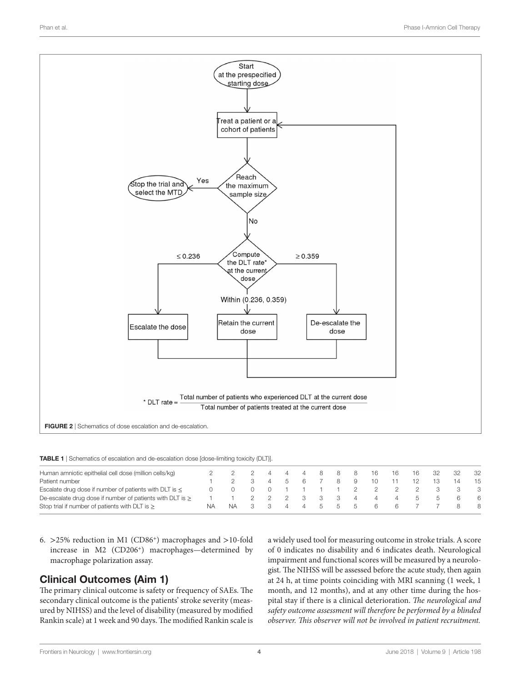

<span id="page-3-1"></span>TABLE 1 | Schematics of escalation and de-escalation dose [dose-limiting toxicity (DLT)].

| Human amniotic epithelial cell dose (million cells/kg)         |    |     |  | $\sim$ 4 $\sim$ | 4 | 88      |     | 8              | - 16 | 16       | 16            |               | -32  |
|----------------------------------------------------------------|----|-----|--|-----------------|---|---------|-----|----------------|------|----------|---------------|---------------|------|
| Patient number                                                 |    |     |  | 56              |   |         | - 8 | 9              |      |          |               |               | - 15 |
| Escalate drug dose if number of patients with DLT is $\leq$    |    |     |  |                 |   |         |     |                | 2 2  |          |               |               |      |
| De-escalate drug dose if number of patients with DLT is $\geq$ |    |     |  | - 2             |   | 3 3     |     | $\overline{4}$ | 4    | $\sim$ 4 | $\mathcal{D}$ | $\mathcal{D}$ | - 6  |
| Stop trial if number of patients with DLT is $\geq$            | ΝA | NA. |  | 44              |   | . ხ. ხ. |     | .b             | h.,  | - 6      |               |               | -8   |

6. >25% reduction in M1 (CD86<sup>+</sup>) macrophages and >10-fold increase in M2 (CD206<sup>+</sup>) macrophages—determined by macrophage polarization assay.

### Clinical Outcomes (Aim 1)

The primary clinical outcome is safety or frequency of SAEs. The secondary clinical outcome is the patients' stroke severity (measured by NIHSS) and the level of disability (measured by modified Rankin scale) at 1 week and 90 days. The modified Rankin scale is <span id="page-3-0"></span>a widely used tool for measuring outcome in stroke trials. A score of 0 indicates no disability and 6 indicates death. Neurological impairment and functional scores will be measured by a neurologist. The NIHSS will be assessed before the acute study, then again at 24 h, at time points coinciding with MRI scanning (1 week, 1 month, and 12 months), and at any other time during the hospital stay if there is a clinical deterioration. *The neurological and safety outcome assessment will therefore be performed by a blinded observer. This observer will not be involved in patient recruitment.*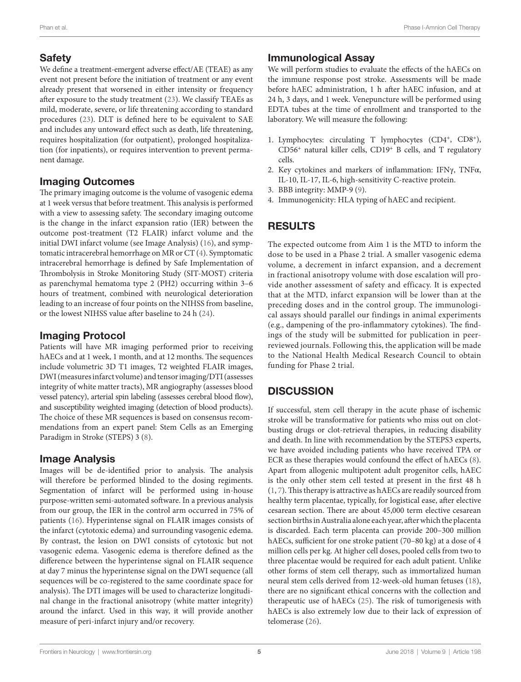# **Safety**

We define a treatment-emergent adverse effect/AE (TEAE) as any event not present before the initiation of treatment or any event already present that worsened in either intensity or frequency after exposure to the study treatment [\(23](#page-5-22)). We classify TEAEs as mild, moderate, severe, or life threatening according to standard procedures [\(23](#page-5-22)). DLT is defined here to be equivalent to SAE and includes any untoward effect such as death, life threatening, requires hospitalization (for outpatient), prolonged hospitalization (for inpatients), or requires intervention to prevent permanent damage.

#### Imaging Outcomes

The primary imaging outcome is the volume of vasogenic edema at 1 week versus that before treatment. This analysis is performed with a view to assessing safety. The secondary imaging outcome is the change in the infarct expansion ratio (IER) between the outcome post-treatment (T2 FLAIR) infarct volume and the initial DWI infarct volume (see Image Analysis) [\(16](#page-5-15)), and symptomatic intracerebral hemorrhage on MR or CT ([4](#page-5-3)). Symptomatic intracerebral hemorrhage is defined by Safe Implementation of Thrombolysis in Stroke Monitoring Study (SIT-MOST) criteria as parenchymal hematoma type 2 (PH2) occurring within 3–6 hours of treatment, combined with neurological deterioration leading to an increase of four points on the NIHSS from baseline, or the lowest NIHSS value after baseline to 24 h ([24\)](#page-6-0).

# Imaging Protocol

Patients will have MR imaging performed prior to receiving hAECs and at 1 week, 1 month, and at 12 months. The sequences include volumetric 3D T1 images, T2 weighted FLAIR images, DWI (measures infarct volume) and tensor imaging/DTI (assesses integrity of white matter tracts), MR angiography (assesses blood vessel patency), arterial spin labeling (assesses cerebral blood flow), and susceptibility weighted imaging (detection of blood products). The choice of these MR sequences is based on consensus recommendations from an expert panel: Stem Cells as an Emerging Paradigm in Stroke (STEPS) 3 ([8](#page-5-7)).

### Image Analysis

Images will be de-identified prior to analysis. The analysis will therefore be performed blinded to the dosing regiments. Segmentation of infarct will be performed using in-house purpose-written semi-automated software. In a previous analysis from our group, the IER in the control arm occurred in 75% of patients [\(16\)](#page-5-15). Hyperintense signal on FLAIR images consists of the infarct (cytotoxic edema) and surrounding vasogenic edema. By contrast, the lesion on DWI consists of cytotoxic but not vasogenic edema. Vasogenic edema is therefore defined as the difference between the hyperintense signal on FLAIR sequence at day 7 minus the hyperintense signal on the DWI sequence (all sequences will be co-registered to the same coordinate space for analysis). The DTI images will be used to characterize longitudinal change in the fractional anisotropy (white matter integrity) around the infarct. Used in this way, it will provide another measure of peri-infarct injury and/or recovery.

# Immunological Assay

We will perform studies to evaluate the effects of the hAECs on the immune response post stroke. Assessments will be made before hAEC administration, 1 h after hAEC infusion, and at 24 h, 3 days, and 1 week. Venepuncture will be performed using EDTA tubes at the time of enrollment and transported to the laboratory. We will measure the following:

- 1. Lymphocytes: circulating T lymphocytes (CD4<sup>+</sup>, CD8<sup>+</sup>), CD56<sup>+</sup> natural killer cells, CD19<sup>+</sup> B cells, and T regulatory cells.
- 2. Key cytokines and markers of inflammation: IFNγ, TNFα, IL-10, IL-17, IL-6, high-sensitivity C-reactive protein.
- 3. BBB integrity: MMP-9 [\(9\)](#page-5-8).
- 4. Immunogenicity: HLA typing of hAEC and recipient.

# RESULTS

The expected outcome from Aim 1 is the MTD to inform the dose to be used in a Phase 2 trial. A smaller vasogenic edema volume, a decrement in infarct expansion, and a decrement in fractional anisotropy volume with dose escalation will provide another assessment of safety and efficacy. It is expected that at the MTD, infarct expansion will be lower than at the preceding doses and in the control group. The immunological assays should parallel our findings in animal experiments (e.g., dampening of the pro-inflammatory cytokines). The findings of the study will be submitted for publication in peerreviewed journals. Following this, the application will be made to the National Health Medical Research Council to obtain funding for Phase 2 trial.

# **DISCUSSION**

If successful, stem cell therapy in the acute phase of ischemic stroke will be transformative for patients who miss out on clotbusting drugs or clot-retrieval therapies, in reducing disability and death. In line with recommendation by the STEPS3 experts, we have avoided including patients who have received TPA or ECR as these therapies would confound the effect of hAECs ([8](#page-5-7)). Apart from allogenic multipotent adult progenitor cells, hAEC is the only other stem cell tested at present in the first 48 h [\(1,](#page-5-0) [7](#page-5-6)). This therapy is attractive as hAECs are readily sourced from healthy term placentae, typically, for logistical ease, after elective cesarean section. There are about 45,000 term elective cesarean section births in Australia alone each year, after which the placenta is discarded. Each term placenta can provide 200–300 million hAECs, sufficient for one stroke patient (70–80 kg) at a dose of 4 million cells per kg. At higher cell doses, pooled cells from two to three placentae would be required for each adult patient. Unlike other forms of stem cell therapy, such as immortalized human neural stem cells derived from 12-week-old human fetuses [\(18](#page-5-17)), there are no significant ethical concerns with the collection and therapeutic use of hAECs ([25\)](#page-6-1). The risk of tumorigenesis with hAECs is also extremely low due to their lack of expression of telomerase ([26\)](#page-6-2).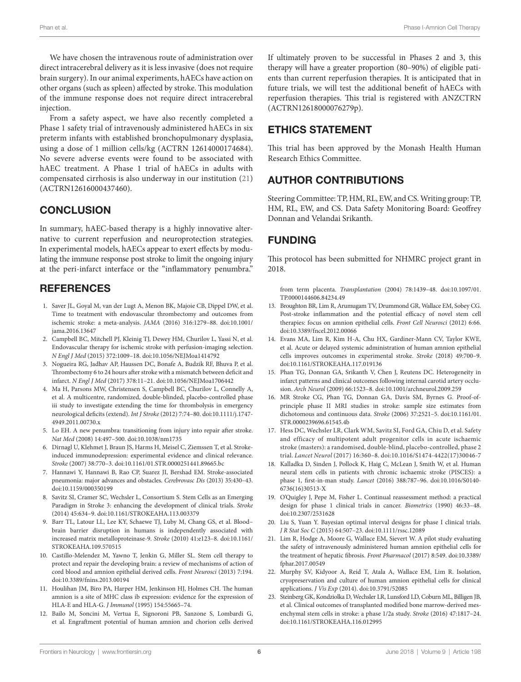We have chosen the intravenous route of administration over direct intracerebral delivery as it is less invasive (does not require brain surgery). In our animal experiments, hAECs have action on other organs (such as spleen) affected by stroke. This modulation of the immune response does not require direct intracerebral injection.

From a safety aspect, we have also recently completed a Phase 1 safety trial of intravenously administered hAECs in six preterm infants with established bronchopulmonary dysplasia, using a dose of 1 million cells/kg (ACTRN 12614000174684). No severe adverse events were found to be associated with hAEC treatment. A Phase 1 trial of hAECs in adults with compensated cirrhosis is also underway in our institution ([21\)](#page-5-20) (ACTRN12616000437460).

### **CONCLUSION**

In summary, hAEC-based therapy is a highly innovative alternative to current reperfusion and neuroprotection strategies. In experimental models, hAECs appear to exert effects by modulating the immune response post stroke to limit the ongoing injury at the peri-infarct interface or the "inflammatory penumbra."

#### **REFERENCES**

- <span id="page-5-0"></span>1. Saver JL, Goyal M, van der Lugt A, Menon BK, Majoie CB, Dippel DW, et al. Time to treatment with endovascular thrombectomy and outcomes from ischemic stroke: a meta-analysis. *JAMA* (2016) 316:1279–88. doi[:10.1001/](https://doi.org/10.1001/jama.2016.13647) [jama.2016.13647](https://doi.org/10.1001/jama.2016.13647)
- <span id="page-5-1"></span>2. Campbell BC, Mitchell PJ, Kleinig TJ, Dewey HM, Churilov L, Yassi N, et al. Endovascular therapy for ischemic stroke with perfusion-imaging selection. *N Engl J Med* (2015) 372:1009–18. doi[:10.1056/NEJMoa1414792](https://doi.org/10.1056/NEJMoa1414792)
- <span id="page-5-2"></span>3. Nogueira RG, Jadhav AP, Haussen DC, Bonafe A, Budzik RF, Bhuva P, et al. Thrombectomy 6 to 24 hours after stroke with a mismatch between deficit and infarct. *N Engl J Med* (2017) 378:11–21. doi[:10.1056/NEJMoa1706442](https://doi.org/10.1056/NEJMoa1706442)
- <span id="page-5-3"></span>4. Ma H, Parsons MW, Christensen S, Campbell BC, Churilov L, Connelly A, et al. A multicentre, randomized, double-blinded, placebo-controlled phase iii study to investigate extending the time for thrombolysis in emergency neurological deficits (extend). *Int J Stroke* (2012) 7:74–80. doi:[10.1111/j.1747-](https://doi.org/10.1111/j.1747-
4949.2011.00730.x) [4949.2011.00730.x](https://doi.org/10.1111/j.1747-
4949.2011.00730.x)
- <span id="page-5-4"></span>5. Lo EH. A new penumbra: transitioning from injury into repair after stroke. *Nat Med* (2008) 14:497–500. doi[:10.1038/nm1735](https://doi.org/10.1038/nm1735)
- <span id="page-5-5"></span>6. Dirnagl U, Klehmet J, Braun JS, Harms H, Meisel C, Ziemssen T, et al. Strokeinduced immunodepression: experimental evidence and clinical relevance. *Stroke* (2007) 38:770–3. doi:[10.1161/01.STR.0000251441.89665.bc](https://doi.org/10.1161/01.STR.0000251441.89665.bc)
- <span id="page-5-6"></span>7. Hannawi Y, Hannawi B, Rao CP, Suarez JI, Bershad EM. Stroke-associated pneumonia: major advances and obstacles. *Cerebrovasc Dis* (2013) 35:430–43. doi:[10.1159/000350199](https://doi.org/10.1159/000350199)
- <span id="page-5-7"></span>8. Savitz SI, Cramer SC, Wechsler L, Consortium S. Stem Cells as an Emerging Paradigm in Stroke 3: enhancing the development of clinical trials. *Stroke* (2014) 45:634–9. doi:[10.1161/STROKEAHA.113.003379](https://doi.org/10.1161/STROKEAHA.113.003379)
- <span id="page-5-8"></span>9. Barr TL, Latour LL, Lee KY, Schaewe TJ, Luby M, Chang GS, et al. Blood– brain barrier disruption in humans is independently associated with increased matrix metalloproteinase-9. *Stroke* (2010) 41:e123–8. doi[:10.1161/](https://doi.org/10.1161/STROKEAHA.109.570515) [STROKEAHA.109.570515](https://doi.org/10.1161/STROKEAHA.109.570515)
- <span id="page-5-9"></span>10. Castillo-Melendez M, Yawno T, Jenkin G, Miller SL. Stem cell therapy to protect and repair the developing brain: a review of mechanisms of action of cord blood and amnion epithelial derived cells. *Front Neurosci* (2013) 7:194. doi:[10.3389/fnins.2013.00194](https://doi.org/10.3389/fnins.2013.00194)
- <span id="page-5-10"></span>11. Houlihan JM, Biro PA, Harper HM, Jenkinson HJ, Holmes CH. The human amnion is a site of MHC class ib expression: evidence for the expression of HLA-E and HLA-G. *J Immunol* (1995) 154:55665–74.
- <span id="page-5-11"></span>12. Bailo M, Soncini M, Vertua E, Signoroni PB, Sanzone S, Lombardi G, et al. Engraftment potential of human amnion and chorion cells derived

If ultimately proven to be successful in Phases 2 and 3, this therapy will have a greater proportion (80–90%) of eligible patients than current reperfusion therapies. It is anticipated that in future trials, we will test the additional benefit of hAECs with reperfusion therapies. This trial is registered with ANZCTRN (ACTRN12618000076279p).

# ETHICS STATEMENT

This trial has been approved by the Monash Health Human Research Ethics Committee.

# AUTHOR CONTRIBUTIONS

Steering Committee: TP, HM, RL, EW, and CS. Writing group: TP, HM, RL, EW, and CS. Data Safety Monitoring Board: Geoffrey Donnan and Velandai Srikanth.

# FUNDING

This protocol has been submitted for NHMRC project grant in 2018.

<span id="page-5-12"></span>from term placenta. *Transplantation* (2004) 78:1439–48. doi[:10.1097/01.](https://doi.org/10.1097/01.TP.0000144606.84234.49) [TP.0000144606.84234.49](https://doi.org/10.1097/01.TP.0000144606.84234.49)

- 13. Broughton BR, Lim R, Arumugam TV, Drummond GR, Wallace EM, Sobey CG. Post-stroke inflammation and the potential efficacy of novel stem cell therapies: focus on amnion epithelial cells. *Front Cell Neurosci* (2012) 6:66. doi:[10.3389/fncel.2012.00066](https://doi.org/10.3389/fncel.2012.00066)
- <span id="page-5-13"></span>14. Evans MA, Lim R, Kim H-A, Chu HX, Gardiner-Mann CV, Taylor KWE, et al. Acute or delayed systemic administration of human amnion epithelial cells improves outcomes in experimental stroke. *Stroke* (2018) 49:700–9. doi:[10.1161/STROKEAHA.117.019136](https://doi.org/10.1161/STROKEAHA.117.019136)
- <span id="page-5-14"></span>15. Phan TG, Donnan GA, Srikanth V, Chen J, Reutens DC. Heterogeneity in infarct patterns and clinical outcomes following internal carotid artery occlusion. *Arch Neurol* (2009) 66:1523–8. doi[:10.1001/archneurol.2009.259](https://doi.org/10.1001/archneurol.2009.259)
- <span id="page-5-15"></span>16. MR Stroke CG, Phan TG, Donnan GA, Davis SM, Byrnes G. Proof-ofprinciple phase II MRI studies in stroke: sample size estimates from dichotomous and continuous data. *Stroke* (2006) 37:2521–5. doi[:10.1161/01.](https://doi.org/10.1161/01.STR.0000239696.61545.4b) [STR.0000239696.61545.4b](https://doi.org/10.1161/01.STR.0000239696.61545.4b)
- <span id="page-5-16"></span>17. Hess DC, Wechsler LR, Clark WM, Savitz SI, Ford GA, Chiu D, et al. Safety and efficacy of multipotent adult progenitor cells in acute ischaemic stroke (masters): a randomised, double-blind, placebo-controlled, phase 2 trial. *Lancet Neurol* (2017) 16:360–8. doi[:10.1016/S1474-4422\(17\)30046-7](https://doi.org/10.1016/S1474-4422(17)
30046-7)
- <span id="page-5-17"></span>18. Kalladka D, Sinden J, Pollock K, Haig C, McLean J, Smith W, et al. Human neural stem cells in patients with chronic ischaemic stroke (PISCES): a phase 1, first-in-man study. *Lancet* (2016) 388:787–96. doi:[10.1016/S0140-](https://doi.org/10.1016/S0140-
6736(16)30513-X) [6736\(16\)30513-X](https://doi.org/10.1016/S0140-
6736(16)30513-X)
- <span id="page-5-18"></span>19. O'Quigley J, Pepe M, Fisher L. Continual reassessment method: a practical design for phase 1 clinical trials in cancer. *Biometrics* (1990) 46:33–48. doi:[10.2307/2531628](https://doi.org/10.2307/2531628)
- <span id="page-5-19"></span>20. Liu S, Yuan Y. Bayesian optimal interval designs for phase I clinical trials. *J R Stat Soc C* (2015) 64:507–23. doi:[10.1111/rssc.12089](https://doi.org/10.1111/rssc.12089)
- <span id="page-5-20"></span>21. Lim R, Hodge A, Moore G, Wallace EM, Sievert W. A pilot study evaluating the safety of intravenously administered human amnion epithelial cells for the treatment of hepatic fibrosis. *Front Pharmacol* (2017) 8:549. doi[:10.3389/](https://doi.org/10.3389/fphar.2017.00549) [fphar.2017.00549](https://doi.org/10.3389/fphar.2017.00549)
- <span id="page-5-21"></span>22. Murphy SV, Kidyoor A, Reid T, Atala A, Wallace EM, Lim R. Isolation, cryopreservation and culture of human amnion epithelial cells for clinical applications. *J Vis Exp* (2014). doi[:10.3791/52085](https://doi.org/10.3791/52085)
- <span id="page-5-22"></span>23. Steinberg GK, Kondziolka D, Wechsler LR, Lunsford LD, Coburn ML, Billigen JB, et al. Clinical outcomes of transplanted modified bone marrow-derived mesenchymal stem cells in stroke: a phase 1/2a study. *Stroke* (2016) 47:1817–24. doi:[10.1161/STROKEAHA.116.012995](https://doi.org/10.1161/STROKEAHA.116.012995)